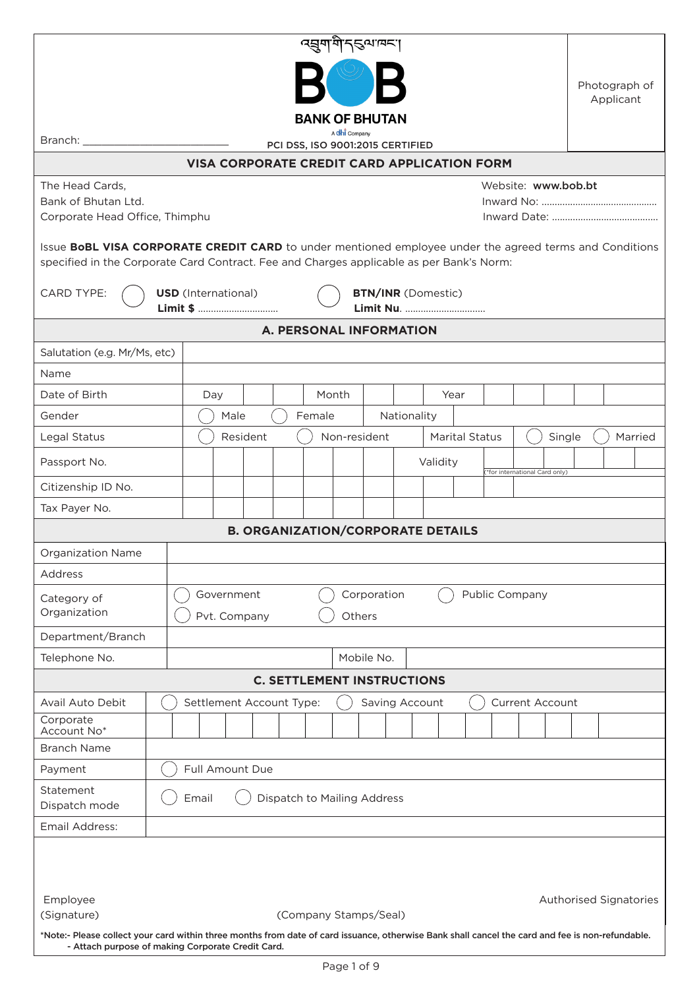|                                                                                                                                                                                                       |                                                       |  |                            |                                             |  |        |       | त्सुगभिन् इत्यावन् ।              |             |                            |                       |  |                               |  |  |  |         |
|-------------------------------------------------------------------------------------------------------------------------------------------------------------------------------------------------------|-------------------------------------------------------|--|----------------------------|---------------------------------------------|--|--------|-------|-----------------------------------|-------------|----------------------------|-----------------------|--|-------------------------------|--|--|--|---------|
|                                                                                                                                                                                                       |                                                       |  |                            |                                             |  |        |       |                                   |             |                            |                       |  |                               |  |  |  |         |
|                                                                                                                                                                                                       |                                                       |  |                            |                                             |  |        |       |                                   |             | Photograph of<br>Applicant |                       |  |                               |  |  |  |         |
| <b>BANK OF BHUTAN</b>                                                                                                                                                                                 |                                                       |  |                            |                                             |  |        |       |                                   |             |                            |                       |  |                               |  |  |  |         |
| A chi Company<br>Branch: __<br>PCI DSS, ISO 9001:2015 CERTIFIED                                                                                                                                       |                                                       |  |                            |                                             |  |        |       |                                   |             |                            |                       |  |                               |  |  |  |         |
|                                                                                                                                                                                                       |                                                       |  |                            | VISA CORPORATE CREDIT CARD APPLICATION FORM |  |        |       |                                   |             |                            |                       |  |                               |  |  |  |         |
| The Head Cards,                                                                                                                                                                                       |                                                       |  |                            |                                             |  |        |       |                                   |             |                            |                       |  | Website: www.bob.bt           |  |  |  |         |
|                                                                                                                                                                                                       | Bank of Bhutan Ltd.<br>Corporate Head Office, Thimphu |  |                            |                                             |  |        |       |                                   |             |                            |                       |  |                               |  |  |  |         |
|                                                                                                                                                                                                       |                                                       |  |                            |                                             |  |        |       |                                   |             |                            |                       |  |                               |  |  |  |         |
| Issue BoBL VISA CORPORATE CREDIT CARD to under mentioned employee under the agreed terms and Conditions<br>specified in the Corporate Card Contract. Fee and Charges applicable as per Bank's Norm:   |                                                       |  |                            |                                             |  |        |       |                                   |             |                            |                       |  |                               |  |  |  |         |
| CARD TYPE:                                                                                                                                                                                            |                                                       |  | <b>USD</b> (International) |                                             |  |        |       | <b>BTN/INR</b> (Domestic)         |             |                            |                       |  |                               |  |  |  |         |
|                                                                                                                                                                                                       |                                                       |  |                            | Limit \$                                    |  |        |       |                                   |             |                            | Limit Nu.             |  |                               |  |  |  |         |
|                                                                                                                                                                                                       |                                                       |  |                            |                                             |  |        |       | A. PERSONAL INFORMATION           |             |                            |                       |  |                               |  |  |  |         |
| Salutation (e.g. Mr/Ms, etc)                                                                                                                                                                          |                                                       |  |                            |                                             |  |        |       |                                   |             |                            |                       |  |                               |  |  |  |         |
| Name                                                                                                                                                                                                  |                                                       |  |                            |                                             |  |        |       |                                   |             |                            |                       |  |                               |  |  |  |         |
| Date of Birth                                                                                                                                                                                         |                                                       |  | Day                        |                                             |  |        | Month |                                   |             |                            | Year                  |  |                               |  |  |  |         |
| Gender                                                                                                                                                                                                |                                                       |  | Male                       |                                             |  | Female |       |                                   | Nationality |                            |                       |  |                               |  |  |  |         |
| Legal Status                                                                                                                                                                                          |                                                       |  |                            | Resident                                    |  |        |       | Non-resident                      |             |                            | <b>Marital Status</b> |  | Single                        |  |  |  | Married |
| Passport No.                                                                                                                                                                                          |                                                       |  |                            |                                             |  |        |       |                                   |             | Validity                   |                       |  | *for international Card only) |  |  |  |         |
| Citizenship ID No.                                                                                                                                                                                    |                                                       |  |                            |                                             |  |        |       |                                   |             |                            |                       |  |                               |  |  |  |         |
| Tax Payer No.                                                                                                                                                                                         |                                                       |  |                            |                                             |  |        |       |                                   |             |                            |                       |  |                               |  |  |  |         |
|                                                                                                                                                                                                       |                                                       |  |                            | <b>B. ORGANIZATION/CORPORATE DETAILS</b>    |  |        |       |                                   |             |                            |                       |  |                               |  |  |  |         |
| <b>Organization Name</b>                                                                                                                                                                              |                                                       |  |                            |                                             |  |        |       |                                   |             |                            |                       |  |                               |  |  |  |         |
| Address                                                                                                                                                                                               |                                                       |  |                            |                                             |  |        |       |                                   |             |                            |                       |  |                               |  |  |  |         |
| Corporation<br>Public Company<br>Government<br>Category of                                                                                                                                            |                                                       |  |                            |                                             |  |        |       |                                   |             |                            |                       |  |                               |  |  |  |         |
|                                                                                                                                                                                                       | Organization<br>Pvt. Company<br>Others                |  |                            |                                             |  |        |       |                                   |             |                            |                       |  |                               |  |  |  |         |
| Department/Branch<br>Telephone No.                                                                                                                                                                    |                                                       |  |                            |                                             |  |        |       | Mobile No.                        |             |                            |                       |  |                               |  |  |  |         |
|                                                                                                                                                                                                       |                                                       |  |                            |                                             |  |        |       | <b>C. SETTLEMENT INSTRUCTIONS</b> |             |                            |                       |  |                               |  |  |  |         |
| Avail Auto Debit                                                                                                                                                                                      |                                                       |  |                            | Settlement Account Type:                    |  |        |       | Saving Account                    |             |                            |                       |  | <b>Current Account</b>        |  |  |  |         |
| Corporate                                                                                                                                                                                             |                                                       |  |                            |                                             |  |        |       |                                   |             |                            |                       |  |                               |  |  |  |         |
| Account No*                                                                                                                                                                                           |                                                       |  |                            |                                             |  |        |       |                                   |             |                            |                       |  |                               |  |  |  |         |
| <b>Branch Name</b>                                                                                                                                                                                    |                                                       |  |                            |                                             |  |        |       |                                   |             |                            |                       |  |                               |  |  |  |         |
| Full Amount Due<br>Payment                                                                                                                                                                            |                                                       |  |                            |                                             |  |        |       |                                   |             |                            |                       |  |                               |  |  |  |         |
| Statement<br>Email<br>Dispatch to Mailing Address<br>Dispatch mode                                                                                                                                    |                                                       |  |                            |                                             |  |        |       |                                   |             |                            |                       |  |                               |  |  |  |         |
| Email Address:                                                                                                                                                                                        |                                                       |  |                            |                                             |  |        |       |                                   |             |                            |                       |  |                               |  |  |  |         |
|                                                                                                                                                                                                       |                                                       |  |                            |                                             |  |        |       |                                   |             |                            |                       |  |                               |  |  |  |         |
|                                                                                                                                                                                                       |                                                       |  |                            |                                             |  |        |       |                                   |             |                            |                       |  |                               |  |  |  |         |
| Employee<br>Authorised Signatories                                                                                                                                                                    |                                                       |  |                            |                                             |  |        |       |                                   |             |                            |                       |  |                               |  |  |  |         |
| (Signature)<br>(Company Stamps/Seal)                                                                                                                                                                  |                                                       |  |                            |                                             |  |        |       |                                   |             |                            |                       |  |                               |  |  |  |         |
| *Note:- Please collect your card within three months from date of card issuance, otherwise Bank shall cancel the card and fee is non-refundable.<br>- Attach purpose of making Corporate Credit Card. |                                                       |  |                            |                                             |  |        |       |                                   |             |                            |                       |  |                               |  |  |  |         |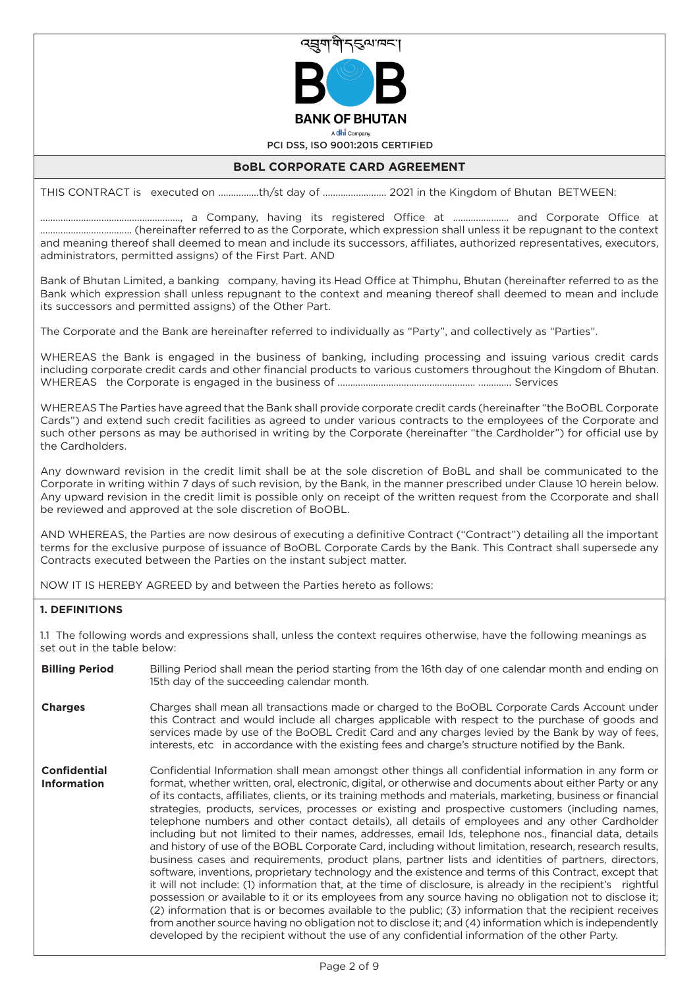

A dhi Company

PCI DSS, ISO 9001:2015 CERTIFIED

# **BoBL CORPORATE CARD AGREEMENT**

THIS CONTRACT is executed on …………….th/st day of ……………………. 2021 in the Kingdom of Bhutan BETWEEN:

………………………………………………., a Company, having its registered Office at …………………. and Corporate Office at ……………………………... (hereinafter referred to as the Corporate, which expression shall unless it be repugnant to the context and meaning thereof shall deemed to mean and include its successors, affiliates, authorized representatives, executors, administrators, permitted assigns) of the First Part. AND

Bank of Bhutan Limited, a banking company, having its Head Office at Thimphu, Bhutan (hereinafter referred to as the Bank which expression shall unless repugnant to the context and meaning thereof shall deemed to mean and include its successors and permitted assigns) of the Other Part.

The Corporate and the Bank are hereinafter referred to individually as "Party", and collectively as "Parties".

WHEREAS the Bank is engaged in the business of banking, including processing and issuing various credit cards including corporate credit cards and other financial products to various customers throughout the Kingdom of Bhutan. WHEREAS the Corporate is engaged in the business of ……………………………...……………… …………. Services

WHEREAS The Parties have agreed that the Bank shall provide corporate credit cards (hereinafter "the BoOBL Corporate Cards") and extend such credit facilities as agreed to under various contracts to the employees of the Corporate and such other persons as may be authorised in writing by the Corporate (hereinafter "the Cardholder") for official use by the Cardholders.

Any downward revision in the credit limit shall be at the sole discretion of BoBL and shall be communicated to the Corporate in writing within 7 days of such revision, by the Bank, in the manner prescribed under Clause 10 herein below. Any upward revision in the credit limit is possible only on receipt of the written request from the Ccorporate and shall be reviewed and approved at the sole discretion of BoOBL.

AND WHEREAS, the Parties are now desirous of executing a definitive Contract ("Contract") detailing all the important terms for the exclusive purpose of issuance of BoOBL Corporate Cards by the Bank. This Contract shall supersede any Contracts executed between the Parties on the instant subject matter.

NOW IT IS HEREBY AGREED by and between the Parties hereto as follows:

## **1. DEFINITIONS**

1.1 The following words and expressions shall, unless the context requires otherwise, have the following meanings as set out in the table below:

- Billing Period shall mean the period starting from the 16th day of one calendar month and ending on 15th day of the succeeding calendar month. **Billing Period**
- Charges shall mean all transactions made or charged to the BoOBL Corporate Cards Account under this Contract and would include all charges applicable with respect to the purchase of goods and services made by use of the BoOBL Credit Card and any charges levied by the Bank by way of fees, interests, etc in accordance with the existing fees and charge's structure notified by the Bank. **Charges**
- Confidential Information shall mean amongst other things all confidential information in any form or format, whether written, oral, electronic, digital, or otherwise and documents about either Party or any of its contacts, affiliates, clients, or its training methods and materials, marketing, business or financial strategies, products, services, processes or existing and prospective customers (including names, telephone numbers and other contact details), all details of employees and any other Cardholder including but not limited to their names, addresses, email Ids, telephone nos., financial data, details and history of use of the BOBL Corporate Card, including without limitation, research, research results, business cases and requirements, product plans, partner lists and identities of partners, directors, software, inventions, proprietary technology and the existence and terms of this Contract, except that it will not include: (1) information that, at the time of disclosure, is already in the recipient's rightful possession or available to it or its employees from any source having no obligation not to disclose it; (2) information that is or becomes available to the public; (3) information that the recipient receives from another source having no obligation not to disclose it; and (4) information which is independently developed by the recipient without the use of any confidential information of the other Party. **Confidential Information**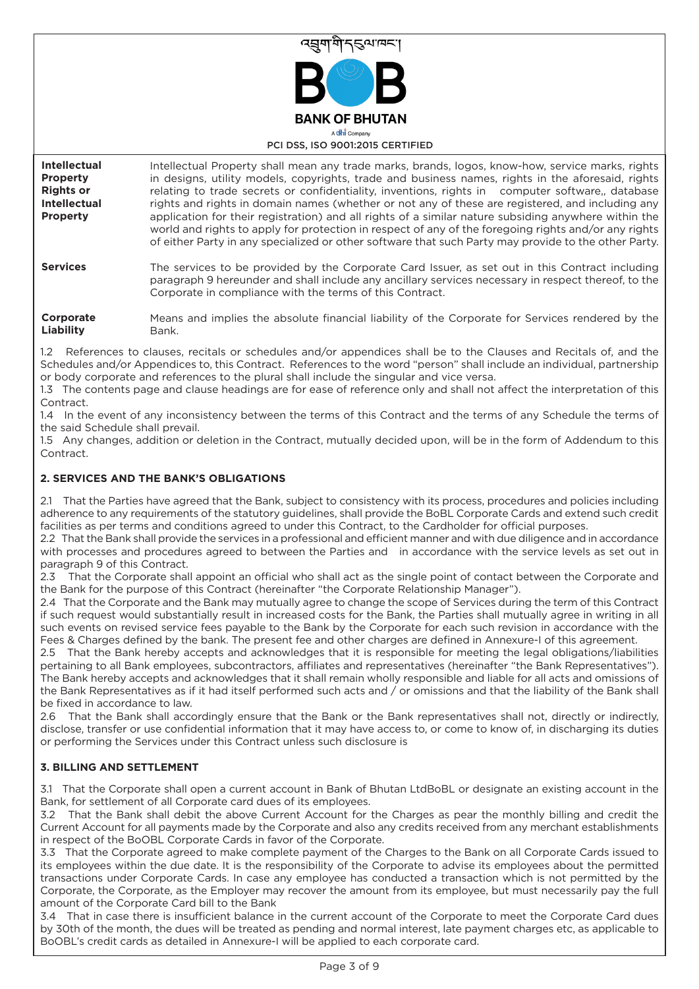

PCI DSS, ISO 9001:2015 CERTIFIED

| <b>Intellectual</b><br><b>Property</b><br><b>Rights or</b><br><b>Intellectual</b><br><b>Property</b> | Intellectual Property shall mean any trade marks, brands, logos, know-how, service marks, rights<br>in designs, utility models, copyrights, trade and business names, rights in the aforesaid, rights<br>relating to trade secrets or confidentiality, inventions, rights in computer software, database<br>rights and rights in domain names (whether or not any of these are registered, and including any<br>application for their registration) and all rights of a similar nature subsiding anywhere within the<br>world and rights to apply for protection in respect of any of the foregoing rights and/or any rights<br>of either Party in any specialized or other software that such Party may provide to the other Party. |
|------------------------------------------------------------------------------------------------------|--------------------------------------------------------------------------------------------------------------------------------------------------------------------------------------------------------------------------------------------------------------------------------------------------------------------------------------------------------------------------------------------------------------------------------------------------------------------------------------------------------------------------------------------------------------------------------------------------------------------------------------------------------------------------------------------------------------------------------------|
| <b>Services</b>                                                                                      | The services to be provided by the Corporate Card Issuer, as set out in this Contract including<br>paragraph 9 hereunder and shall include any ancillary services necessary in respect thereof, to the<br>Corporate in compliance with the terms of this Contract.                                                                                                                                                                                                                                                                                                                                                                                                                                                                   |
| Corporate<br>Liability                                                                               | Means and implies the absolute financial liability of the Corporate for Services rendered by the<br>Bank.                                                                                                                                                                                                                                                                                                                                                                                                                                                                                                                                                                                                                            |

1.2 References to clauses, recitals or schedules and/or appendices shall be to the Clauses and Recitals of, and the Schedules and/or Appendices to, this Contract. References to the word "person" shall include an individual, partnership or body corporate and references to the plural shall include the singular and vice versa.

1.3 The contents page and clause headings are for ease of reference only and shall not affect the interpretation of this Contract

1.4 In the event of any inconsistency between the terms of this Contract and the terms of any Schedule the terms of the said Schedule shall prevail.

1.5 Any changes, addition or deletion in the Contract, mutually decided upon, will be in the form of Addendum to this Contract.

## **2. SERVICES AND THE BANK'S OBLIGATIONS**

That the Parties have agreed that the Bank, subject to consistency with its process, procedures and policies including adherence to any requirements of the statutory guidelines, shall provide the BoBL Corporate Cards and extend such credit facilities as per terms and conditions agreed to under this Contract, to the Cardholder for official purposes.

2.2 That the Bank shall provide the services in a professional and efficient manner and with due diligence and in accordance with processes and procedures agreed to between the Parties and in accordance with the service levels as set out in paragraph 9 of this Contract.

2.3 That the Corporate shall appoint an official who shall act as the single point of contact between the Corporate and the Bank for the purpose of this Contract (hereinafter "the Corporate Relationship Manager").

2.4 That the Corporate and the Bank may mutually agree to change the scope of Services during the term of this Contract if such request would substantially result in increased costs for the Bank, the Parties shall mutually agree in writing in all such events on revised service fees payable to the Bank by the Corporate for each such revision in accordance with the Fees & Charges defined by the bank. The present fee and other charges are defined in Annexure-I of this agreement.

2.5 That the Bank hereby accepts and acknowledges that it is responsible for meeting the legal obligations/liabilities pertaining to all Bank employees, subcontractors, affiliates and representatives (hereinafter "the Bank Representatives"). The Bank hereby accepts and acknowledges that it shall remain wholly responsible and liable for all acts and omissions of the Bank Representatives as if it had itself performed such acts and / or omissions and that the liability of the Bank shall be fixed in accordance to law.

2.6 That the Bank shall accordingly ensure that the Bank or the Bank representatives shall not, directly or indirectly, disclose, transfer or use confidential information that it may have access to, or come to know of, in discharging its duties or performing the Services under this Contract unless such disclosure is

## **3. BILLING AND SETTLEMENT**

3.1 That the Corporate shall open a current account in Bank of Bhutan LtdBoBL or designate an existing account in the Bank, for settlement of all Corporate card dues of its employees.

3.2 That the Bank shall debit the above Current Account for the Charges as pear the monthly billing and credit the Current Account for all payments made by the Corporate and also any credits received from any merchant establishments in respect of the BoOBL Corporate Cards in favor of the Corporate.

3.3 That the Corporate agreed to make complete payment of the Charges to the Bank on all Corporate Cards issued to its employees within the due date. It is the responsibility of the Corporate to advise its employees about the permitted transactions under Corporate Cards. In case any employee has conducted a transaction which is not permitted by the Corporate, the Corporate, as the Employer may recover the amount from its employee, but must necessarily pay the full amount of the Corporate Card bill to the Bank

3.4 That in case there is insufficient balance in the current account of the Corporate to meet the Corporate Card dues by 30th of the month, the dues will be treated as pending and normal interest, late payment charges etc, as applicable to BoOBL's credit cards as detailed in Annexure-I will be applied to each corporate card.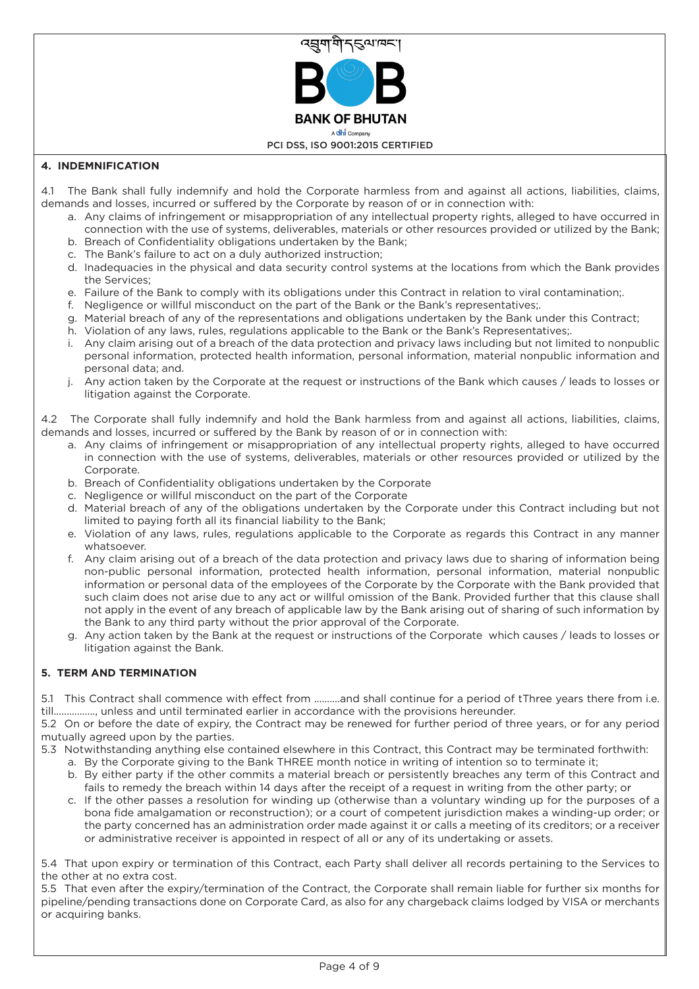

# **4. INDEMNIFICATION**

- 4.1 The Bank shall fully indemnify and hold the Corporate harmless from and against all actions, liabilities, claims, demands and losses, incurred or suffered by the Corporate by reason of or in connection with:
	- a. Any claims of infringement or misappropriation of any intellectual property rights, alleged to have occurred in connection with the use of systems, deliverables, materials or other resources provided or utilized by the Bank; b. Breach of Confidentiality obligations undertaken by the Bank;
	- c. The Bank's failure to act on a duly authorized instruction;
	- d. Inadequacies in the physical and data security control systems at the locations from which the Bank provides the Services;
	- e. Failure of the Bank to comply with its obligations under this Contract in relation to viral contamination;.
	- f. Negligence or willful misconduct on the part of the Bank or the Bank's representatives;.
	- g. Material breach of any of the representations and obligations undertaken by the Bank under this Contract;
	- h. Violation of any laws, rules, regulations applicable to the Bank or the Bank's Representatives;.
	- i. Any claim arising out of a breach of the data protection and privacy laws including but not limited to nonpublic personal information, protected health information, personal information, material nonpublic information and personal data; and.
	- j. Any action taken by the Corporate at the request or instructions of the Bank which causes / leads to losses or litigation against the Corporate.

4.2 The Corporate shall fully indemnify and hold the Bank harmless from and against all actions, liabilities, claims, demands and losses, incurred or suffered by the Bank by reason of or in connection with:

- a. Any claims of infringement or misappropriation of any intellectual property rights, alleged to have occurred in connection with the use of systems, deliverables, materials or other resources provided or utilized by the Corporate.
- b. Breach of Confidentiality obligations undertaken by the Corporate
- c. Negligence or willful misconduct on the part of the Corporate
- d. Material breach of any of the obligations undertaken by the Corporate under this Contract including but not limited to paying forth all its financial liability to the Bank;
- e. Violation of any laws, rules, regulations applicable to the Corporate as regards this Contract in any manner whatsoever.
- f. Any claim arising out of a breach of the data protection and privacy laws due to sharing of information being non-public personal information, protected health information, personal information, material nonpublic information or personal data of the employees of the Corporate by the Corporate with the Bank provided that such claim does not arise due to any act or willful omission of the Bank. Provided further that this clause shall not apply in the event of any breach of applicable law by the Bank arising out of sharing of such information by the Bank to any third party without the prior approval of the Corporate.
- g. Any action taken by the Bank at the request or instructions of the Corporate which causes / leads to losses or litigation against the Bank.

## **5. TERM AND TERMINATION**

5.1 This Contract shall commence with effect from ..........and shall continue for a period of tThree years there from i.e. till................, unless and until terminated earlier in accordance with the provisions hereunder.

5.2 On or before the date of expiry, the Contract may be renewed for further period of three years, or for any period mutually agreed upon by the parties.

- 5.3 Notwithstanding anything else contained elsewhere in this Contract, this Contract may be terminated forthwith:
	- a. By the Corporate giving to the Bank THREE month notice in writing of intention so to terminate it;
	- b. By either party if the other commits a material breach or persistently breaches any term of this Contract and fails to remedy the breach within 14 days after the receipt of a request in writing from the other party; or
	- c. If the other passes a resolution for winding up (otherwise than a voluntary winding up for the purposes of a bona fide amalgamation or reconstruction); or a court of competent jurisdiction makes a winding-up order; or the party concerned has an administration order made against it or calls a meeting of its creditors; or a receiver or administrative receiver is appointed in respect of all or any of its undertaking or assets.

5.4 That upon expiry or termination of this Contract, each Party shall deliver all records pertaining to the Services to the other at no extra cost.

5.5 That even after the expiry/termination of the Contract, the Corporate shall remain liable for further six months for pipeline/pending transactions done on Corporate Card, as also for any chargeback claims lodged by VISA or merchants or acquiring banks.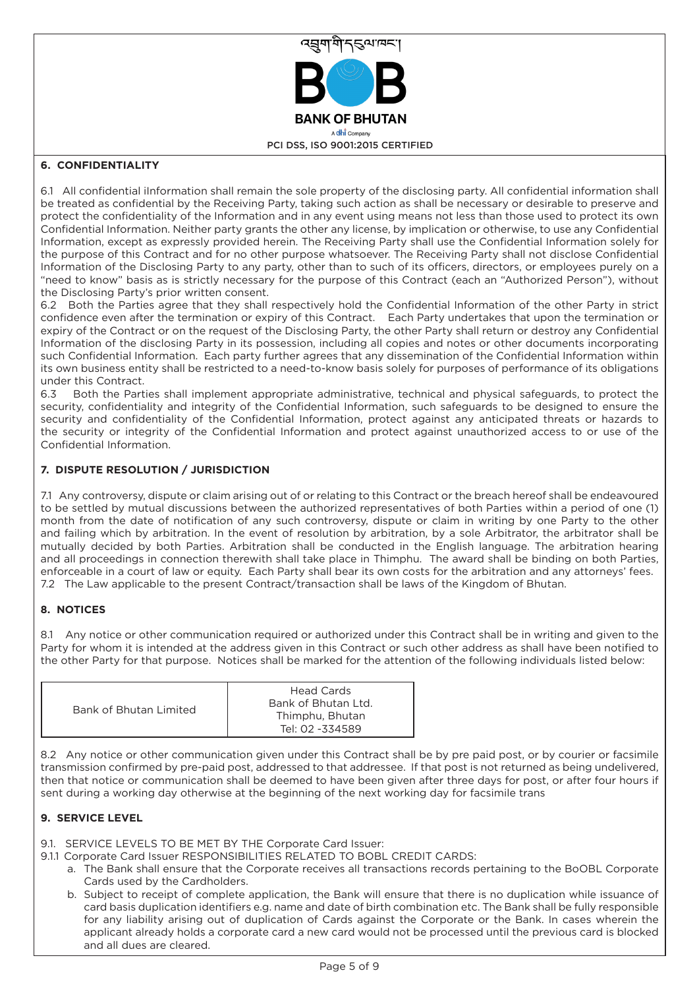

# **6. CONFIDENTIALITY**

6.1 All confidential iInformation shall remain the sole property of the disclosing party. All confidential information shall be treated as confidential by the Receiving Party, taking such action as shall be necessary or desirable to preserve and protect the confidentiality of the Information and in any event using means not less than those used to protect its own Confidential Information. Neither party grants the other any license, by implication or otherwise, to use any Confidential Information, except as expressly provided herein. The Receiving Party shall use the Confidential Information solely for the purpose of this Contract and for no other purpose whatsoever. The Receiving Party shall not disclose Confidential Information of the Disclosing Party to any party, other than to such of its officers, directors, or employees purely on a "need to know" basis as is strictly necessary for the purpose of this Contract (each an "Authorized Person"), without the Disclosing Party's prior written consent.

6.2 Both the Parties agree that they shall respectively hold the Confidential Information of the other Party in strict confidence even after the termination or expiry of this Contract. Each Party undertakes that upon the termination or expiry of the Contract or on the request of the Disclosing Party, the other Party shall return or destroy any Confidential Information of the disclosing Party in its possession, including all copies and notes or other documents incorporating such Confidential Information. Each party further agrees that any dissemination of the Confidential Information within its own business entity shall be restricted to a need-to-know basis solely for purposes of performance of its obligations under this Contract.

6.3 Both the Parties shall implement appropriate administrative, technical and physical safeguards, to protect the security, confidentiality and integrity of the Confidential Information, such safeguards to be designed to ensure the security and confidentiality of the Confidential Information, protect against any anticipated threats or hazards to the security or integrity of the Confidential Information and protect against unauthorized access to or use of the Confidential Information.

# **7. DISPUTE RESOLUTION / JURISDICTION**

7.1 Any controversy, dispute or claim arising out of or relating to this Contract or the breach hereof shall be endeavoured to be settled by mutual discussions between the authorized representatives of both Parties within a period of one (1) month from the date of notification of any such controversy, dispute or claim in writing by one Party to the other and failing which by arbitration. In the event of resolution by arbitration, by a sole Arbitrator, the arbitrator shall be mutually decided by both Parties. Arbitration shall be conducted in the English language. The arbitration hearing and all proceedings in connection therewith shall take place in Thimphu. The award shall be binding on both Parties, enforceable in a court of law or equity. Each Party shall bear its own costs for the arbitration and any attorneys' fees. 7.2 The Law applicable to the present Contract/transaction shall be laws of the Kingdom of Bhutan.

# **8. NOTICES**

8.1 Any notice or other communication required or authorized under this Contract shall be in writing and given to the Party for whom it is intended at the address given in this Contract or such other address as shall have been notified to the other Party for that purpose. Notices shall be marked for the attention of the following individuals listed below:

| Bank of Bhutan Limited | <b>Head Cards</b><br>Bank of Bhutan Ltd.<br>Thimphu, Bhutan<br>Tel: 02 -334589 |
|------------------------|--------------------------------------------------------------------------------|
|------------------------|--------------------------------------------------------------------------------|

8.2 Any notice or other communication given under this Contract shall be by pre paid post, or by courier or facsimile transmission confirmed by pre-paid post, addressed to that addressee. If that post is not returned as being undelivered, then that notice or communication shall be deemed to have been given after three days for post, or after four hours if sent during a working day otherwise at the beginning of the next working day for facsimile trans

## **9. SERVICE LEVEL**

- 9.1. SERVICE LEVELS TO BE MET BY THE Corporate Card Issuer:
- 9.1.1 Corporate Card Issuer RESPONSIBILITIES RELATED TO BOBL CREDIT CARDS:
	- a. The Bank shall ensure that the Corporate receives all transactions records pertaining to the BoOBL Corporate Cards used by the Cardholders.
	- b. Subject to receipt of complete application, the Bank will ensure that there is no duplication while issuance of card basis duplication identifiers e.g. name and date of birth combination etc. The Bank shall be fully responsible for any liability arising out of duplication of Cards against the Corporate or the Bank. In cases wherein the applicant already holds a corporate card a new card would not be processed until the previous card is blocked and all dues are cleared.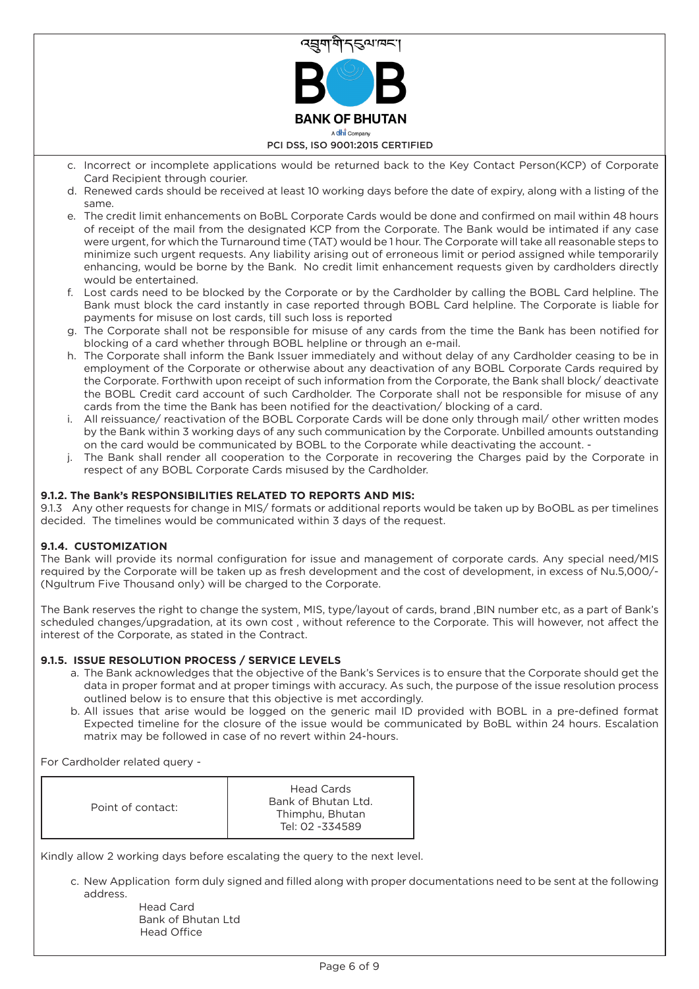

- c. Incorrect or incomplete applications would be returned back to the Key Contact Person(KCP) of Corporate Card Recipient through courier.
- d. Renewed cards should be received at least 10 working days before the date of expiry, along with a listing of the same.
- e. The credit limit enhancements on BoBL Corporate Cards would be done and confirmed on mail within 48 hours of receipt of the mail from the designated KCP from the Corporate. The Bank would be intimated if any case were urgent, for which the Turnaround time (TAT) would be 1 hour. The Corporate will take all reasonable steps to minimize such urgent requests. Any liability arising out of erroneous limit or period assigned while temporarily enhancing, would be borne by the Bank. No credit limit enhancement requests given by cardholders directly would be entertained.
- f. Lost cards need to be blocked by the Corporate or by the Cardholder by calling the BOBL Card helpline. The Bank must block the card instantly in case reported through BOBL Card helpline. The Corporate is liable for payments for misuse on lost cards, till such loss is reported
- g. The Corporate shall not be responsible for misuse of any cards from the time the Bank has been notified for blocking of a card whether through BOBL helpline or through an e-mail.
- h. The Corporate shall inform the Bank Issuer immediately and without delay of any Cardholder ceasing to be in employment of the Corporate or otherwise about any deactivation of any BOBL Corporate Cards required by the Corporate. Forthwith upon receipt of such information from the Corporate, the Bank shall block/ deactivate the BOBL Credit card account of such Cardholder. The Corporate shall not be responsible for misuse of any cards from the time the Bank has been notified for the deactivation/ blocking of a card.
- i. All reissuance/ reactivation of the BOBL Corporate Cards will be done only through mail/ other written modes by the Bank within 3 working days of any such communication by the Corporate. Unbilled amounts outstanding on the card would be communicated by BOBL to the Corporate while deactivating the account. -
- The Bank shall render all cooperation to the Corporate in recovering the Charges paid by the Corporate in respect of any BOBL Corporate Cards misused by the Cardholder.

## **9.1.2. The Bank's RESPONSIBILITIES RELATED TO REPORTS AND MIS:**

9.1.3 Any other requests for change in MIS/ formats or additional reports would be taken up by BoOBL as per timelines decided. The timelines would be communicated within 3 days of the request.

#### **9.1.4. CUSTOMIZATION**

The Bank will provide its normal configuration for issue and management of corporate cards. Any special need/MIS required by the Corporate will be taken up as fresh development and the cost of development, in excess of Nu.5,000/- (Ngultrum Five Thousand only) will be charged to the Corporate.

The Bank reserves the right to change the system, MIS, type/layout of cards, brand ,BIN number etc, as a part of Bank's scheduled changes/upgradation, at its own cost , without reference to the Corporate. This will however, not affect the interest of the Corporate, as stated in the Contract.

## **9.1.5. ISSUE RESOLUTION PROCESS / SERVICE LEVELS**

- a. The Bank acknowledges that the objective of the Bank's Services is to ensure that the Corporate should get the data in proper format and at proper timings with accuracy. As such, the purpose of the issue resolution process outlined below is to ensure that this objective is met accordingly.
- b. All issues that arise would be logged on the generic mail ID provided with BOBL in a pre-defined format Expected timeline for the closure of the issue would be communicated by BoBL within 24 hours. Escalation matrix may be followed in case of no revert within 24-hours.

For Cardholder related query -

| Point of contact: | Head Cards<br>Bank of Bhutan Ltd.<br>Thimphu, Bhutan<br>Tel: 02 -334589 |
|-------------------|-------------------------------------------------------------------------|
|-------------------|-------------------------------------------------------------------------|

Kindly allow 2 working days before escalating the query to the next level.

c. New Application form duly signed and filled along with proper documentations need to be sent at the following address.

 Head Card Bank of Bhutan Ltd Head Office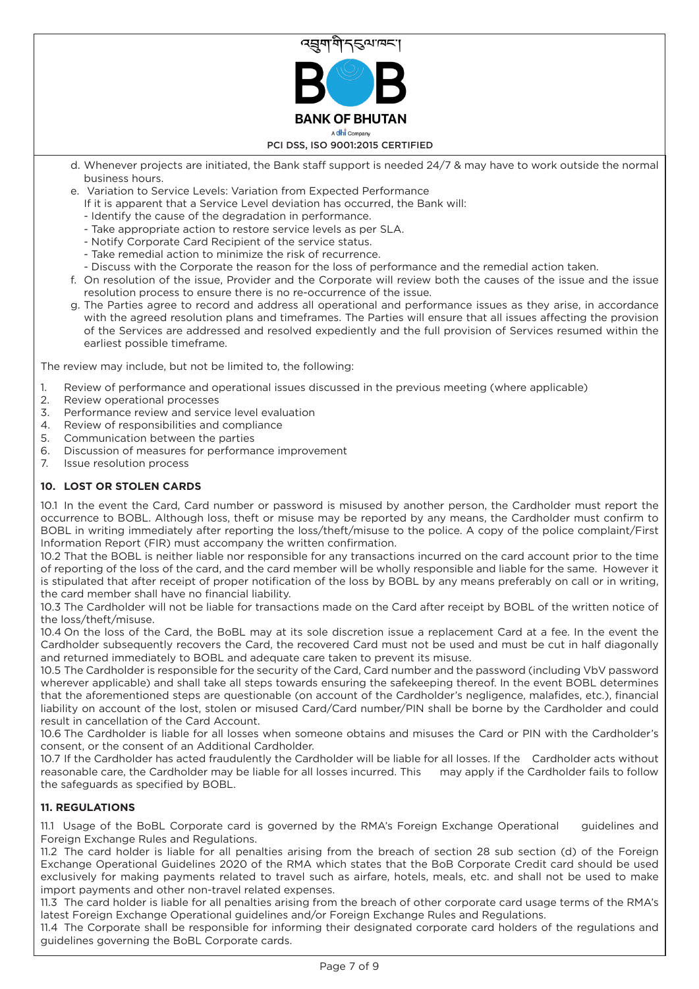

- d. Whenever projects are initiated, the Bank staff support is needed 24/7 & may have to work outside the normal business hours.
- e. Variation to Service Levels: Variation from Expected Performance
	- If it is apparent that a Service Level deviation has occurred, the Bank will:
	- Identify the cause of the degradation in performance.
	- Take appropriate action to restore service levels as per SLA.
	- Notify Corporate Card Recipient of the service status.
	- Take remedial action to minimize the risk of recurrence.
	- Discuss with the Corporate the reason for the loss of performance and the remedial action taken.
- f. On resolution of the issue, Provider and the Corporate will review both the causes of the issue and the issue resolution process to ensure there is no re-occurrence of the issue.
- g. The Parties agree to record and address all operational and performance issues as they arise, in accordance with the agreed resolution plans and timeframes. The Parties will ensure that all issues affecting the provision of the Services are addressed and resolved expediently and the full provision of Services resumed within the earliest possible timeframe.

The review may include, but not be limited to, the following:

- 1. Review of performance and operational issues discussed in the previous meeting (where applicable)
- 2. Review operational processes
- 3. Performance review and service level evaluation
- 4. Review of responsibilities and compliance
- 5. Communication between the parties
- 6. Discussion of measures for performance improvement
- 7. Issue resolution process

## **10. LOST OR STOLEN CARDS**

10.1 In the event the Card, Card number or password is misused by another person, the Cardholder must report the occurrence to BOBL. Although loss, theft or misuse may be reported by any means, the Cardholder must confirm to BOBL in writing immediately after reporting the loss/theft/misuse to the police. A copy of the police complaint/First Information Report (FIR) must accompany the written confirmation.

10.2 That the BOBL is neither liable nor responsible for any transactions incurred on the card account prior to the time of reporting of the loss of the card, and the card member will be wholly responsible and liable for the same. However it is stipulated that after receipt of proper notification of the loss by BOBL by any means preferably on call or in writing, the card member shall have no financial liability.

10.3 The Cardholder will not be liable for transactions made on the Card after receipt by BOBL of the written notice of the loss/theft/misuse.

10.4 On the loss of the Card, the BoBL may at its sole discretion issue a replacement Card at a fee. In the event the Cardholder subsequently recovers the Card, the recovered Card must not be used and must be cut in half diagonally and returned immediately to BOBL and adequate care taken to prevent its misuse.

10.5 The Cardholder is responsible for the security of the Card, Card number and the password (including VbV password wherever applicable) and shall take all steps towards ensuring the safekeeping thereof. In the event BOBL determines that the aforementioned steps are questionable (on account of the Cardholder's negligence, malafides, etc.), financial liability on account of the lost, stolen or misused Card/Card number/PIN shall be borne by the Cardholder and could result in cancellation of the Card Account.

10.6 The Cardholder is liable for all losses when someone obtains and misuses the Card or PIN with the Cardholder's consent, or the consent of an Additional Cardholder.

10.7 If the Cardholder has acted fraudulently the Cardholder will be liable for all losses. If the Cardholder acts without reasonable care, the Cardholder may be liable for all losses incurred. This may apply if the Cardholder fails to follow the safeguards as specified by BOBL.

## **11. REGULATIONS**

11.1 Usage of the BoBL Corporate card is governed by the RMA's Foreign Exchange Operational guidelines and Foreign Exchange Rules and Regulations.

11.2 The card holder is liable for all penalties arising from the breach of section 28 sub section (d) of the Foreign Exchange Operational Guidelines 2020 of the RMA which states that the BoB Corporate Credit card should be used exclusively for making payments related to travel such as airfare, hotels, meals, etc. and shall not be used to make import payments and other non-travel related expenses.

11.3 The card holder is liable for all penalties arising from the breach of other corporate card usage terms of the RMA's latest Foreign Exchange Operational guidelines and/or Foreign Exchange Rules and Regulations.

11.4 The Corporate shall be responsible for informing their designated corporate card holders of the regulations and guidelines governing the BoBL Corporate cards.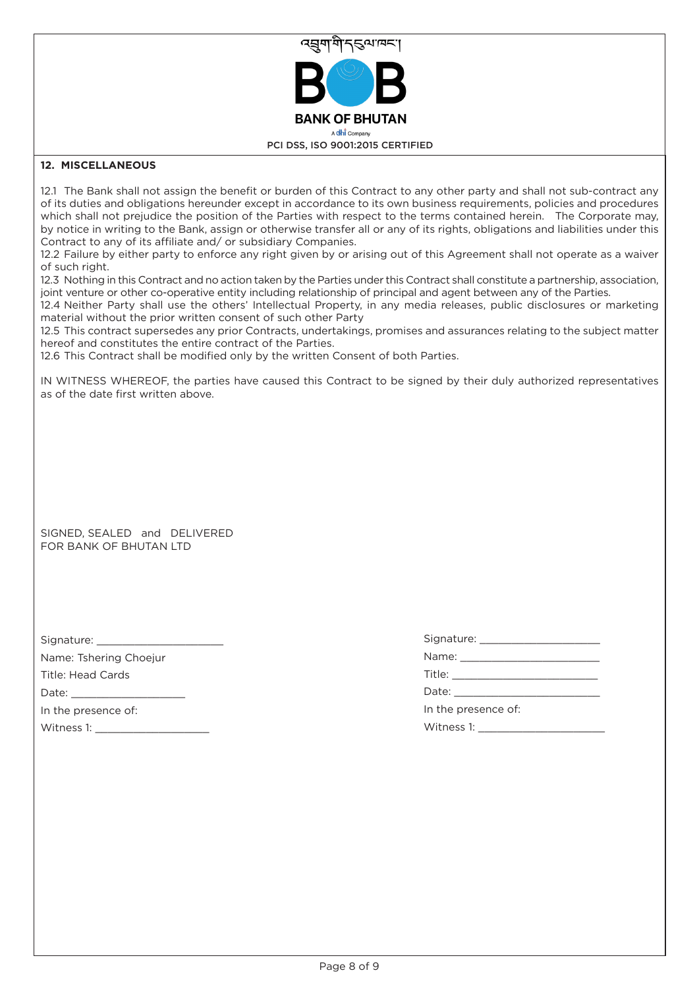

## **12. MISCELLANEOUS**

12.1 The Bank shall not assign the benefit or burden of this Contract to any other party and shall not sub-contract any of its duties and obligations hereunder except in accordance to its own business requirements, policies and procedures which shall not prejudice the position of the Parties with respect to the terms contained herein. The Corporate may, by notice in writing to the Bank, assign or otherwise transfer all or any of its rights, obligations and liabilities under this Contract to any of its affiliate and/ or subsidiary Companies.

12.2 Failure by either party to enforce any right given by or arising out of this Agreement shall not operate as a waiver of such right.

12.3 Nothing in this Contract and no action taken by the Parties under this Contract shall constitute a partnership, association, joint venture or other co-operative entity including relationship of principal and agent between any of the Parties.

12.4 Neither Party shall use the others' Intellectual Property, in any media releases, public disclosures or marketing material without the prior written consent of such other Party

12.5 This contract supersedes any prior Contracts, undertakings, promises and assurances relating to the subject matter hereof and constitutes the entire contract of the Parties.

12.6 This Contract shall be modified only by the written Consent of both Parties.

IN WITNESS WHEREOF, the parties have caused this Contract to be signed by their duly authorized representatives as of the date first written above.

SIGNED, SEALED and DELIVERED FOR BANK OF BHUTAN LTD

Signature:

Name: Tshering Choejur Title: Head Cards

Date: \_\_\_\_\_\_\_\_\_\_\_\_\_\_\_\_\_\_

In the presence of:

Witness 1:

Signature: \_\_\_\_\_\_\_\_\_\_\_\_\_\_\_\_\_\_\_ Name: \_\_\_\_\_\_\_\_\_\_\_\_\_\_\_\_\_\_\_\_\_\_

Title: \_\_\_\_\_\_\_\_\_\_\_\_\_\_\_\_\_\_\_\_\_\_\_

Date:

In the presence of:

Witness 1: